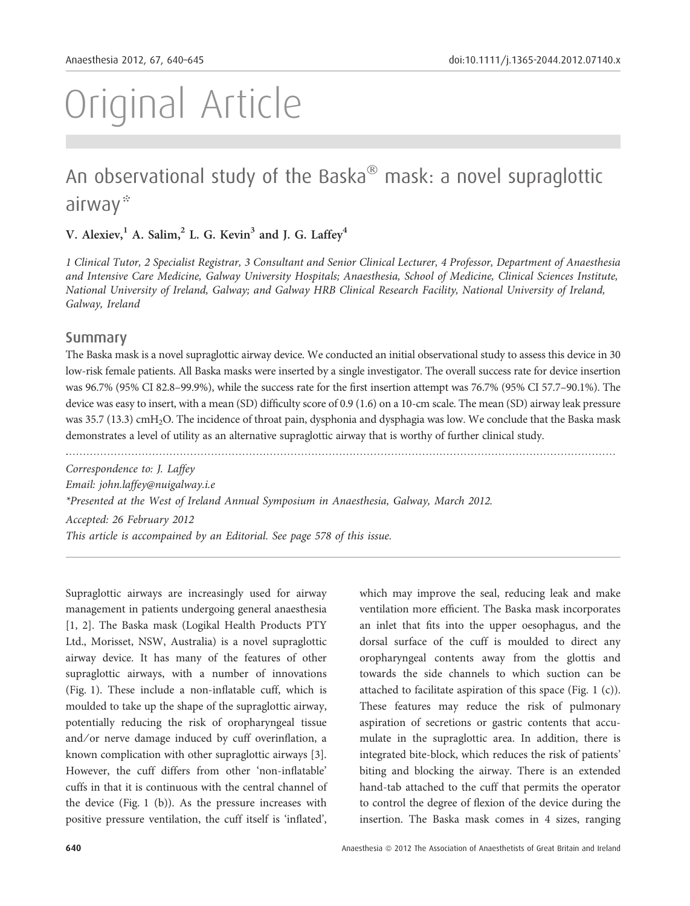# Original Article

# An observational study of the Baska $^\circledast$  mask: a novel supraglottic airway\*

V. Alexiev,  $^1$  A. Salim,  $^2$  L. G. Kevin<sup>3</sup> and J. G. Laffey<sup>4</sup>

1 Clinical Tutor, 2 Specialist Registrar, 3 Consultant and Senior Clinical Lecturer, 4 Professor, Department of Anaesthesia and Intensive Care Medicine, Galway University Hospitals; Anaesthesia, School of Medicine, Clinical Sciences Institute, National University of Ireland, Galway; and Galway HRB Clinical Research Facility, National University of Ireland, Galway, Ireland

#### Summary

The Baska mask is a novel supraglottic airway device. We conducted an initial observational study to assess this device in 30 low-risk female patients. All Baska masks were inserted by a single investigator. The overall success rate for device insertion was 96.7% (95% CI 82.8–99.9%), while the success rate for the first insertion attempt was 76.7% (95% CI 57.7–90.1%). The device was easy to insert, with a mean (SD) difficulty score of 0.9 (1.6) on a 10-cm scale. The mean (SD) airway leak pressure was 35.7 (13.3) cmH<sub>2</sub>O. The incidence of throat pain, dysphonia and dysphagia was low. We conclude that the Baska mask demonstrates a level of utility as an alternative supraglottic airway that is worthy of further clinical study.

............................................................................................................................................................... Correspondence to: J. Laffey Email: john.laffey@nuigalway.i.e \*Presented at the West of Ireland Annual Symposium in Anaesthesia, Galway, March 2012. Accepted: 26 February 2012 This article is accompained by an Editorial. See page 578 of this issue.

Supraglottic airways are increasingly used for airway management in patients undergoing general anaesthesia [1, 2]. The Baska mask (Logikal Health Products PTY Ltd., Morisset, NSW, Australia) is a novel supraglottic airway device. It has many of the features of other supraglottic airways, with a number of innovations (Fig. 1). These include a non-inflatable cuff, which is moulded to take up the shape of the supraglottic airway, potentially reducing the risk of oropharyngeal tissue and/or nerve damage induced by cuff overinflation, a known complication with other supraglottic airways [3]. However, the cuff differs from other 'non-inflatable' cuffs in that it is continuous with the central channel of the device (Fig. 1 (b)). As the pressure increases with positive pressure ventilation, the cuff itself is 'inflated', which may improve the seal, reducing leak and make ventilation more efficient. The Baska mask incorporates an inlet that fits into the upper oesophagus, and the dorsal surface of the cuff is moulded to direct any oropharyngeal contents away from the glottis and towards the side channels to which suction can be attached to facilitate aspiration of this space (Fig. 1 (c)). These features may reduce the risk of pulmonary aspiration of secretions or gastric contents that accumulate in the supraglottic area. In addition, there is integrated bite-block, which reduces the risk of patients' biting and blocking the airway. There is an extended hand-tab attached to the cuff that permits the operator to control the degree of flexion of the device during the insertion. The Baska mask comes in 4 sizes, ranging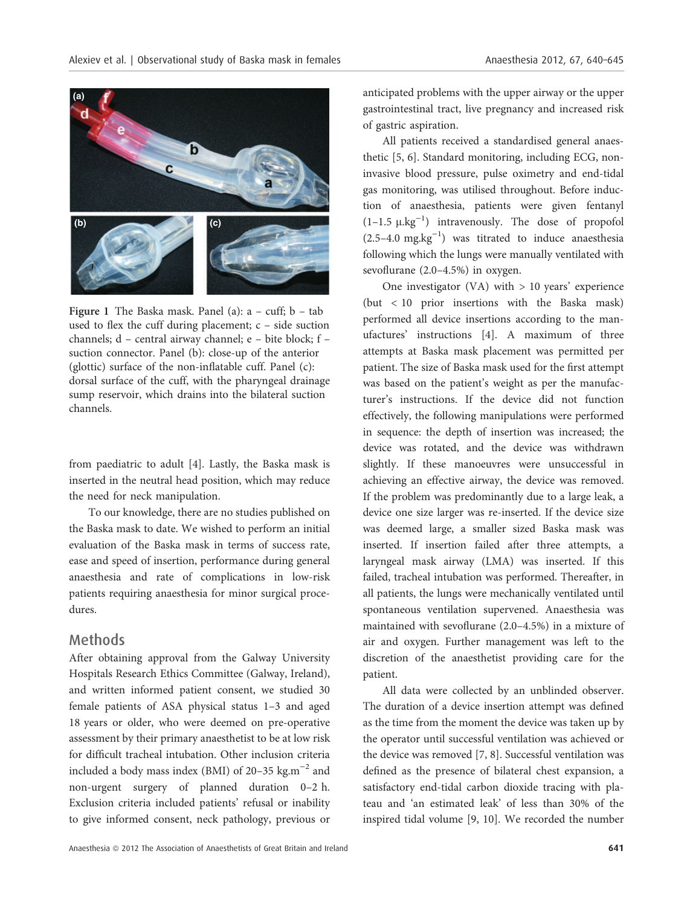

Figure 1 The Baska mask. Panel (a):  $a - \text{cuff}$ ;  $b - \text{tab}$ used to flex the cuff during placement; c – side suction channels; d – central airway channel; e – bite block; f – suction connector. Panel (b): close-up of the anterior (glottic) surface of the non-inflatable cuff. Panel (c): dorsal surface of the cuff, with the pharyngeal drainage sump reservoir, which drains into the bilateral suction channels.

from paediatric to adult [4]. Lastly, the Baska mask is inserted in the neutral head position, which may reduce the need for neck manipulation.

To our knowledge, there are no studies published on the Baska mask to date. We wished to perform an initial evaluation of the Baska mask in terms of success rate, ease and speed of insertion, performance during general anaesthesia and rate of complications in low-risk patients requiring anaesthesia for minor surgical procedures.

#### Methods

After obtaining approval from the Galway University Hospitals Research Ethics Committee (Galway, Ireland), and written informed patient consent, we studied 30 female patients of ASA physical status 1–3 and aged 18 years or older, who were deemed on pre-operative assessment by their primary anaesthetist to be at low risk for difficult tracheal intubation. Other inclusion criteria included a body mass index (BMI) of 20–35 kg.m<sup> $-2$ </sup> and non-urgent surgery of planned duration 0–2 h. Exclusion criteria included patients' refusal or inability to give informed consent, neck pathology, previous or

anticipated problems with the upper airway or the upper gastrointestinal tract, live pregnancy and increased risk of gastric aspiration.

All patients received a standardised general anaesthetic [5, 6]. Standard monitoring, including ECG, noninvasive blood pressure, pulse oximetry and end-tidal gas monitoring, was utilised throughout. Before induction of anaesthesia, patients were given fentanyl  $(1-1.5 \mu.kg^{-1})$  intravenously. The dose of propofol  $(2.5-4.0 \text{ mg} \cdot \text{kg}^{-1})$  was titrated to induce anaesthesia following which the lungs were manually ventilated with sevoflurane (2.0–4.5%) in oxygen.

One investigator  $(VA)$  with  $> 10$  years' experience (but < 10 prior insertions with the Baska mask) performed all device insertions according to the manufactures' instructions [4]. A maximum of three attempts at Baska mask placement was permitted per patient. The size of Baska mask used for the first attempt was based on the patient's weight as per the manufacturer's instructions. If the device did not function effectively, the following manipulations were performed in sequence: the depth of insertion was increased; the device was rotated, and the device was withdrawn slightly. If these manoeuvres were unsuccessful in achieving an effective airway, the device was removed. If the problem was predominantly due to a large leak, a device one size larger was re-inserted. If the device size was deemed large, a smaller sized Baska mask was inserted. If insertion failed after three attempts, a laryngeal mask airway (LMA) was inserted. If this failed, tracheal intubation was performed. Thereafter, in all patients, the lungs were mechanically ventilated until spontaneous ventilation supervened. Anaesthesia was maintained with sevoflurane (2.0–4.5%) in a mixture of air and oxygen. Further management was left to the discretion of the anaesthetist providing care for the patient.

All data were collected by an unblinded observer. The duration of a device insertion attempt was defined as the time from the moment the device was taken up by the operator until successful ventilation was achieved or the device was removed [7, 8]. Successful ventilation was defined as the presence of bilateral chest expansion, a satisfactory end-tidal carbon dioxide tracing with plateau and 'an estimated leak' of less than 30% of the inspired tidal volume [9, 10]. We recorded the number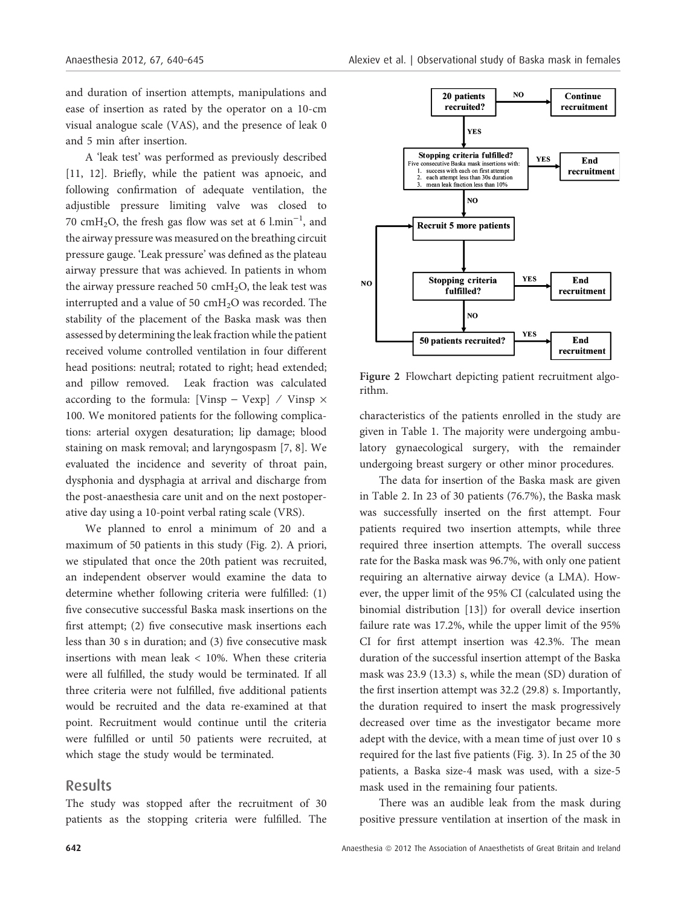and duration of insertion attempts, manipulations and ease of insertion as rated by the operator on a 10-cm visual analogue scale (VAS), and the presence of leak 0 and 5 min after insertion.

A 'leak test' was performed as previously described [11, 12]. Briefly, while the patient was apnoeic, and following confirmation of adequate ventilation, the adjustible pressure limiting valve was closed to 70 cmH<sub>2</sub>O, the fresh gas flow was set at 6  $l.min^{-1}$ , and the airway pressure was measured on the breathing circuit pressure gauge. 'Leak pressure' was defined as the plateau airway pressure that was achieved. In patients in whom the airway pressure reached 50  $\text{cm}H_2\text{O}$ , the leak test was interrupted and a value of 50 cmH<sub>2</sub>O was recorded. The stability of the placement of the Baska mask was then assessed by determining the leak fraction while the patient received volume controlled ventilation in four different head positions: neutral; rotated to right; head extended; and pillow removed. Leak fraction was calculated according to the formula: [Vinsp – Vexp] / Vinsp  $\times$ 100. We monitored patients for the following complications: arterial oxygen desaturation; lip damage; blood staining on mask removal; and laryngospasm [7, 8]. We evaluated the incidence and severity of throat pain, dysphonia and dysphagia at arrival and discharge from the post-anaesthesia care unit and on the next postoperative day using a 10-point verbal rating scale (VRS).

We planned to enrol a minimum of 20 and a maximum of 50 patients in this study (Fig. 2). A priori, we stipulated that once the 20th patient was recruited, an independent observer would examine the data to determine whether following criteria were fulfilled: (1) five consecutive successful Baska mask insertions on the first attempt; (2) five consecutive mask insertions each less than 30 s in duration; and (3) five consecutive mask insertions with mean leak < 10%. When these criteria were all fulfilled, the study would be terminated. If all three criteria were not fulfilled, five additional patients would be recruited and the data re-examined at that point. Recruitment would continue until the criteria were fulfilled or until 50 patients were recruited, at which stage the study would be terminated.

#### Results

The study was stopped after the recruitment of 30 patients as the stopping criteria were fulfilled. The



Figure 2 Flowchart depicting patient recruitment algorithm.

characteristics of the patients enrolled in the study are given in Table 1. The majority were undergoing ambulatory gynaecological surgery, with the remainder undergoing breast surgery or other minor procedures.

The data for insertion of the Baska mask are given in Table 2. In 23 of 30 patients (76.7%), the Baska mask was successfully inserted on the first attempt. Four patients required two insertion attempts, while three required three insertion attempts. The overall success rate for the Baska mask was 96.7%, with only one patient requiring an alternative airway device (a LMA). However, the upper limit of the 95% CI (calculated using the binomial distribution [13]) for overall device insertion failure rate was 17.2%, while the upper limit of the 95% CI for first attempt insertion was 42.3%. The mean duration of the successful insertion attempt of the Baska mask was 23.9 (13.3) s, while the mean (SD) duration of the first insertion attempt was 32.2 (29.8) s. Importantly, the duration required to insert the mask progressively decreased over time as the investigator became more adept with the device, with a mean time of just over 10 s required for the last five patients (Fig. 3). In 25 of the 30 patients, a Baska size-4 mask was used, with a size-5 mask used in the remaining four patients.

There was an audible leak from the mask during positive pressure ventilation at insertion of the mask in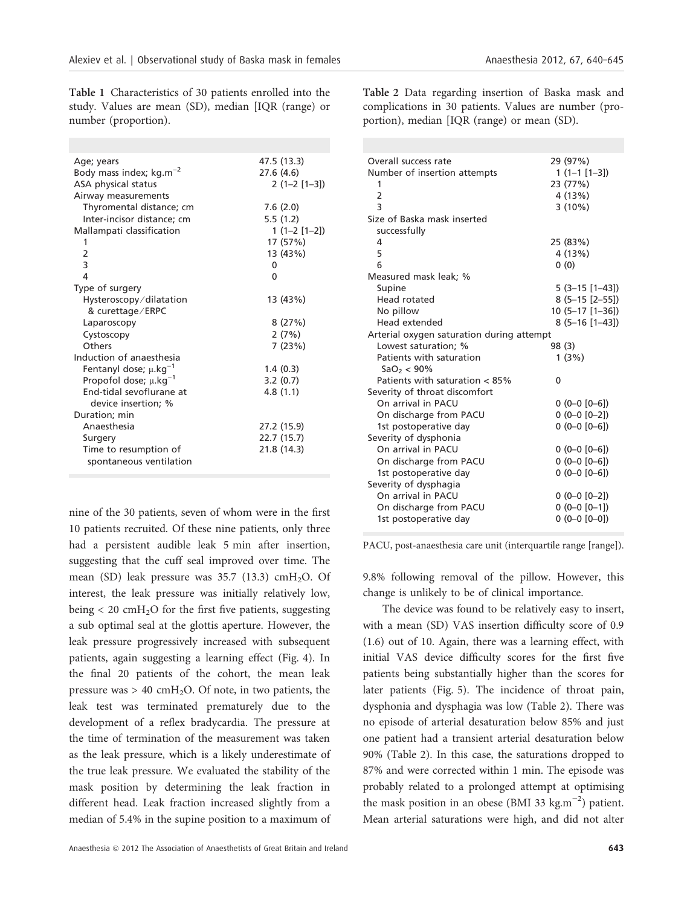Table 1 Characteristics of 30 patients enrolled into the study. Values are mean (SD), median [IQR (range) or number (proportion).

| Age; years                             | 47.5 (13.3)   |
|----------------------------------------|---------------|
| Body mass index; $kg.m^{-2}$           | 27.6 (4.6)    |
| ASA physical status                    | $2(1-2[1-3])$ |
| Airway measurements                    |               |
| Thyromental distance; cm               | 7.6(2.0)      |
| Inter-incisor distance; cm             | 5.5(1.2)      |
| Mallampati classification              | $1(1-2[1-2])$ |
| 1                                      | 17 (57%)      |
| $\overline{2}$                         | 13 (43%)      |
| 3                                      | $\Omega$      |
| 4                                      | $\Omega$      |
| Type of surgery                        |               |
| Hysteroscopy/dilatation                | 13 (43%)      |
| & curettage/ERPC                       |               |
| Laparoscopy                            | 8(27%)        |
| Cystoscopy                             | 2(7%)         |
| Others                                 | 7 (23%)       |
| Induction of anaesthesia               |               |
| Fentanyl dose; $\mu$ .kg <sup>-1</sup> | 1.4(0.3)      |
| Propofol dose; $\mu$ .kg <sup>-1</sup> | 3.2(0.7)      |
| End-tidal sevoflurane at               | 4.8(1.1)      |
| device insertion; %                    |               |
| Duration; min                          |               |
| Anaesthesia                            | 27.2 (15.9)   |
| Surgery                                | 22.7 (15.7)   |
| Time to resumption of                  | 21.8 (14.3)   |
| spontaneous ventilation                |               |
|                                        |               |

nine of the 30 patients, seven of whom were in the first 10 patients recruited. Of these nine patients, only three had a persistent audible leak 5 min after insertion, suggesting that the cuff seal improved over time. The mean (SD) leak pressure was  $35.7$  (13.3) cmH<sub>2</sub>O. Of interest, the leak pressure was initially relatively low, being  $< 20$  cmH<sub>2</sub>O for the first five patients, suggesting a sub optimal seal at the glottis aperture. However, the leak pressure progressively increased with subsequent patients, again suggesting a learning effect (Fig. 4). In the final 20 patients of the cohort, the mean leak pressure was  $> 40 \text{ cmH}_2\text{O}$ . Of note, in two patients, the leak test was terminated prematurely due to the development of a reflex bradycardia. The pressure at the time of termination of the measurement was taken as the leak pressure, which is a likely underestimate of the true leak pressure. We evaluated the stability of the mask position by determining the leak fraction in different head. Leak fraction increased slightly from a median of 5.4% in the supine position to a maximum of Table 2 Data regarding insertion of Baska mask and complications in 30 patients. Values are number (proportion), median [IQR (range) or mean (SD).

| Overall success rate                      |   | 29 (97%)         |
|-------------------------------------------|---|------------------|
| Number of insertion attempts              |   | $1(1-1[1-3])$    |
| 1                                         |   | 23 (77%)         |
| 2                                         |   | 4(13%)           |
| 3                                         |   | $3(10\%)$        |
| Size of Baska mask inserted               |   |                  |
| successfully                              |   |                  |
| 4                                         |   | 25 (83%)         |
| 5                                         |   | 4(13%)           |
| 6                                         |   | 0(0)             |
| Measured mask leak; %                     |   |                  |
| Supine                                    |   | $5(3-15[1-43])$  |
| Head rotated                              |   | $8(5-15[2-55])$  |
| No pillow                                 |   | $10(5-17[1-36])$ |
| Head extended                             |   | $8(5-16[1-43])$  |
| Arterial oxygen saturation during attempt |   |                  |
| Lowest saturation: %                      |   | 98 (3)           |
| Patients with saturation                  |   | 1(3%)            |
| SaO <sub>2</sub> < 90%                    |   |                  |
| Patients with saturation < 85%            | 0 |                  |
| Severity of throat discomfort             |   |                  |
| On arrival in PACU                        |   | $0(0-0[0-6])$    |
| On discharge from PACU                    |   | $0(0-0[0-2])$    |
| 1st postoperative day                     |   | $0(0-0[0-6])$    |
| Severity of dysphonia                     |   |                  |
| On arrival in PACU                        |   | $0(0-0[0-6])$    |
| On discharge from PACU                    |   | $0(0-0[0-6])$    |
| 1st postoperative day                     |   | $0(0-0[0-6])$    |
| Severity of dysphagia                     |   |                  |
| On arrival in PACU                        |   | $0(0-0[0-2])$    |
| On discharge from PACU                    |   | $0(0-0[0-1])$    |
| 1st postoperative day                     |   | $0(0-0[0-0])$    |

PACU, post-anaesthesia care unit (interquartile range [range]).

9.8% following removal of the pillow. However, this change is unlikely to be of clinical importance.

The device was found to be relatively easy to insert, with a mean (SD) VAS insertion difficulty score of 0.9 (1.6) out of 10. Again, there was a learning effect, with initial VAS device difficulty scores for the first five patients being substantially higher than the scores for later patients (Fig. 5). The incidence of throat pain, dysphonia and dysphagia was low (Table 2). There was no episode of arterial desaturation below 85% and just one patient had a transient arterial desaturation below 90% (Table 2). In this case, the saturations dropped to 87% and were corrected within 1 min. The episode was probably related to a prolonged attempt at optimising the mask position in an obese (BMI 33  $\text{kg.m}^{-2}$ ) patient. Mean arterial saturations were high, and did not alter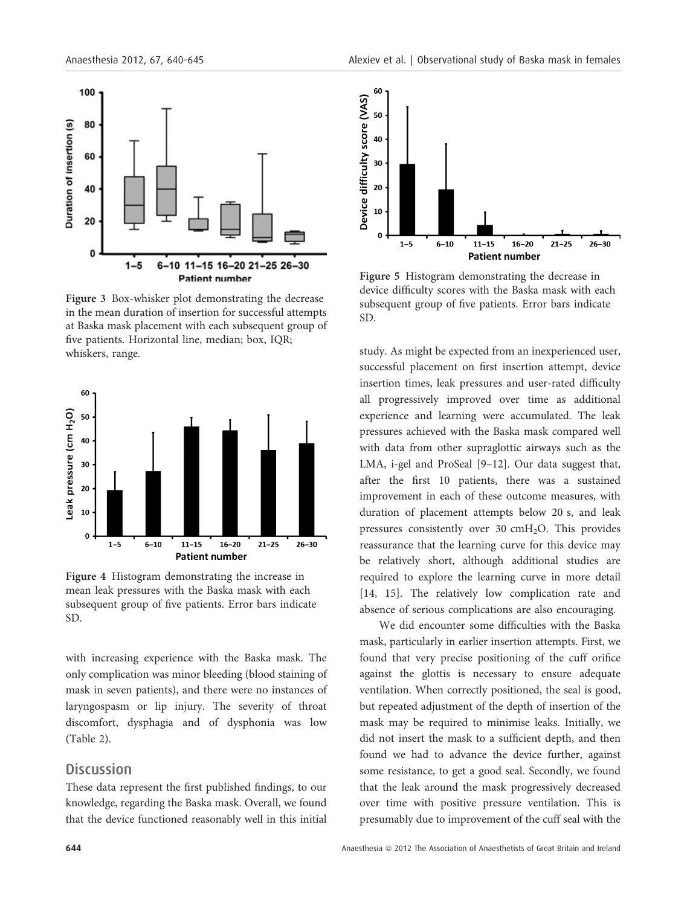

Figure 3 Box-whisker plot demonstrating the decrease in the mean duration of insertion for successful attempts at Baska mask placement with each subsequent group of five patients. Horizontal line, median; box, IQR; whiskers, range.



Figure 4 Histogram demonstrating the increase in mean leak pressures with the Baska mask with each subsequent group of five patients. Error bars indicate SD.

with increasing experience with the Baska mask. The only complication was minor bleeding (blood staining of mask in seven patients), and there were no instances of laryngospasm or lip injury. The severity of throat discomfort, dysphagia and of dysphonia was low (Table 2).

#### **Discussion**

These data represent the first published findings, to our knowledge, regarding the Baska mask. Overall, we found that the device functioned reasonably well in this initial



Figure 5 Histogram demonstrating the decrease in device difficulty scores with the Baska mask with each subsequent group of five patients. Error bars indicate SD.

study. As might be expected from an inexperienced user, successful placement on first insertion attempt, device insertion times, leak pressures and user-rated difficulty all progressively improved over time as additional experience and learning were accumulated. The leak pressures achieved with the Baska mask compared well with data from other supraglottic airways such as the LMA, i-gel and ProSeal [9–12]. Our data suggest that, after the first 10 patients, there was a sustained improvement in each of these outcome measures, with duration of placement attempts below 20 s, and leak pressures consistently over  $30 \text{ cm}H_2O$ . This provides reassurance that the learning curve for this device may be relatively short, although additional studies are required to explore the learning curve in more detail [14, 15]. The relatively low complication rate and absence of serious complications are also encouraging.

We did encounter some difficulties with the Baska mask, particularly in earlier insertion attempts. First, we found that very precise positioning of the cuff orifice against the glottis is necessary to ensure adequate ventilation. When correctly positioned, the seal is good, but repeated adjustment of the depth of insertion of the mask may be required to minimise leaks. Initially, we did not insert the mask to a sufficient depth, and then found we had to advance the device further, against some resistance, to get a good seal. Secondly, we found that the leak around the mask progressively decreased over time with positive pressure ventilation. This is presumably due to improvement of the cuff seal with the